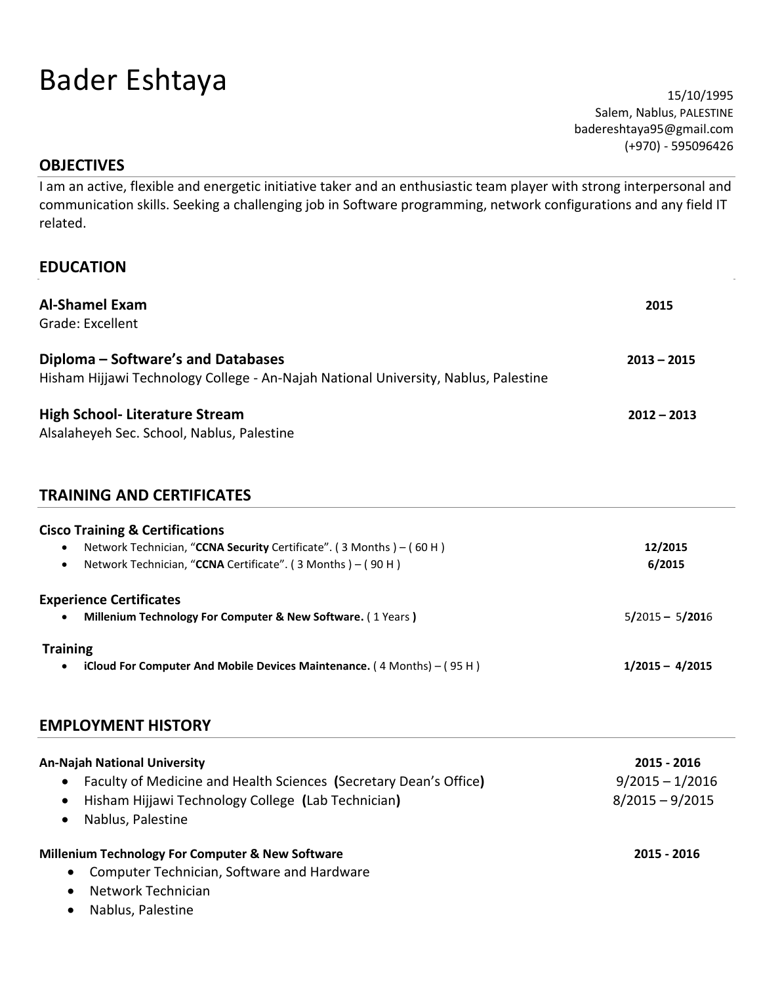# Bader Eshtaya 15/10/1995

Salem, Nablus, PALESTINE badereshtaya95@gmail.com (+970) - 595096426

#### **OBJECTIVES**

I am an active, flexible and energetic initiative taker and an enthusiastic team player with strong interpersonal and communication skills. Seeking a challenging job in Software programming, network configurations and any field IT related.

# **EDUCATION**

| <b>Al-Shamel Exam</b><br>Grade: Excellent                                                                                 | 2015              |
|---------------------------------------------------------------------------------------------------------------------------|-------------------|
| Diploma – Software's and Databases<br>Hisham Hijjawi Technology College - An-Najah National University, Nablus, Palestine | $2013 - 2015$     |
| High School- Literature Stream<br>Alsalaheyeh Sec. School, Nablus, Palestine                                              | $2012 - 2013$     |
| <b>TRAINING AND CERTIFICATES</b>                                                                                          |                   |
| <b>Cisco Training &amp; Certifications</b>                                                                                |                   |
| Network Technician, "CCNA Security Certificate". (3 Months) – (60 H)<br>٠                                                 | 12/2015           |
| Network Technician, "CCNA Certificate". (3 Months) - (90 H)                                                               | 6/2015            |
| <b>Experience Certificates</b>                                                                                            |                   |
| Millenium Technology For Computer & New Software. (1 Years)                                                               | $5/2015 - 5/2016$ |
| <b>Training</b>                                                                                                           |                   |
| iCloud For Computer And Mobile Devices Maintenance. $(4 \text{ months}) - (95 \text{ H})$                                 | $1/2015 - 4/2015$ |

#### **EMPLOYMENT HISTORY**

| <b>An-Najah National University</b>                                            | 2015 - 2016       |
|--------------------------------------------------------------------------------|-------------------|
| Faculty of Medicine and Health Sciences (Secretary Dean's Office)<br>$\bullet$ | $9/2015 - 1/2016$ |
| Hisham Hijjawi Technology College (Lab Technician)<br>$\bullet$                | $8/2015 - 9/2015$ |
| Nablus, Palestine<br>$\bullet$                                                 |                   |
| Millenium Technology For Computer & New Software                               | 2015 - 2016       |
| Computer Technician, Software and Hardware<br>$\bullet$                        |                   |
| Network Technician<br>$\bullet$                                                |                   |
| .                                                                              |                   |

Nablus, Palestine